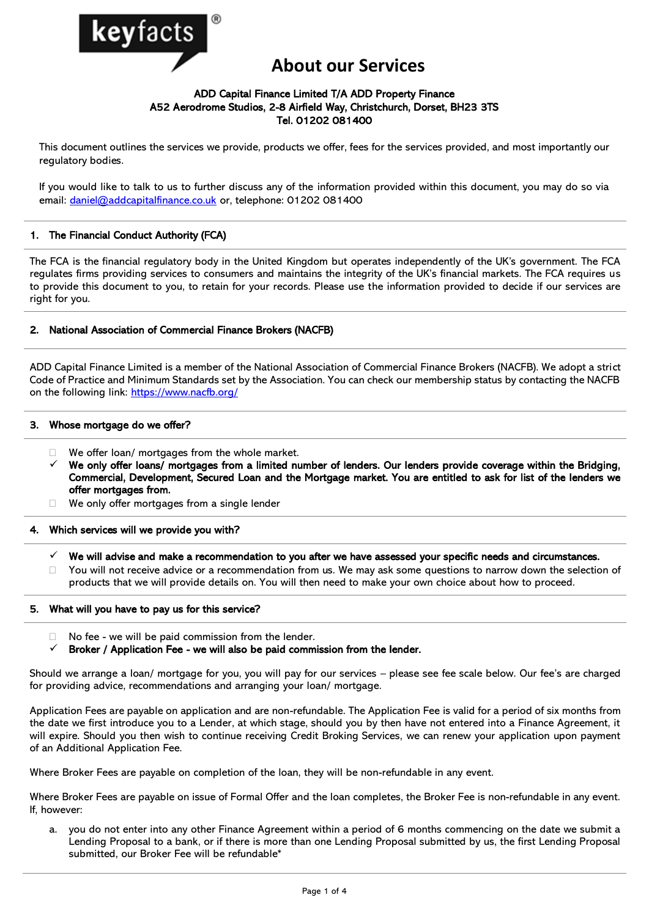

# **About our Services**

# ADD Capital Finance Limited T/A ADD Property Finance A52 Aerodrome Studios, 2-8 Airfield Way, Christchurch, Dorset, BH23 3TS Tel. 01202 081400

This document outlines the services we provide, products we offer, fees for the services provided, and most importantly our regulatory bodies.

If you would like to talk to us to further discuss any of the information provided within this document, you may do so via email: [daniel@addcapitalfinance.co.uk](mailto:daniel@addcapitalfinance.co.uk) or, telephone: 01202 081400

# 1. The Financial Conduct Authority (FCA)

The FCA is the financial regulatory body in the United Kingdom but operates independently of the UK's government. The FCA regulates firms providing services to consumers and maintains the integrity of the UK's financial markets. The FCA requires us to provide this document to you, to retain for your records. Please use the information provided to decide if our services are right for you.

# 2. National Association of Commercial Finance Brokers (NACFB)

ADD Capital Finance Limited is a member of the National Association of Commercial Finance Brokers (NACFB). We adopt a strict Code of Practice and Minimum Standards set by the Association. You can check our membership status by contacting the NACFB on the following link:<https://www.nacfb.org/>

# 3. Whose mortgage do we offer?

- $\Box$  We offer loan/ mortgages from the whole market.
- We only offer loans/ mortgages from a limited number of lenders. Our lenders provide coverage within the Bridging, Commercial, Development, Secured Loan and the Mortgage market. You are entitled to ask for list of the lenders we offer mortgages from.
- □ We only offer mortgages from a single lender

# 4. Which services will we provide you with?

- We will advise and make a recommendation to you after we have assessed your specific needs and circumstances.
- $\Box$  You will not receive advice or a recommendation from us. We may ask some questions to narrow down the selection of products that we will provide details on. You will then need to make your own choice about how to proceed.

# 5. What will you have to pay us for this service?

- $\Box$  No fee we will be paid commission from the lender.
- $\checkmark$  Broker / Application Fee we will also be paid commission from the lender.

Should we arrange a loan/ mortgage for you, you will pay for our services – please see fee scale below. Our fee's are charged for providing advice, recommendations and arranging your loan/ mortgage.

Application Fees are payable on application and are non-refundable. The Application Fee is valid for a period of six months from the date we first introduce you to a Lender, at which stage, should you by then have not entered into a Finance Agreement, it will expire. Should you then wish to continue receiving Credit Broking Services, we can renew your application upon payment of an Additional Application Fee.

Where Broker Fees are payable on completion of the loan, they will be non-refundable in any event.

Where Broker Fees are payable on issue of Formal Offer and the loan completes, the Broker Fee is non-refundable in any event. If, however:

a. you do not enter into any other Finance Agreement within a period of 6 months commencing on the date we submit a Lending Proposal to a bank, or if there is more than one Lending Proposal submitted by us, the first Lending Proposal submitted, our Broker Fee will be refundable\*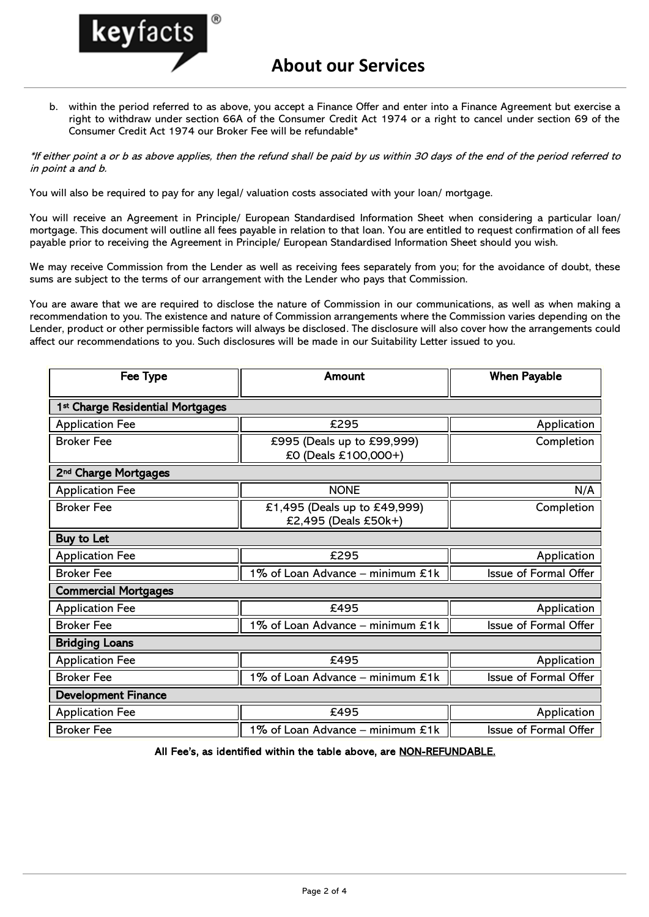

b. within the period referred to as above, you accept a Finance Offer and enter into a Finance Agreement but exercise a right to withdraw under section 66A of the Consumer Credit Act 1974 or a right to cancel under section 69 of the Consumer Credit Act 1974 our Broker Fee will be refundable\*

\*If either point a or b as above applies, then the refund shall be paid by us within 30 days of the end of the period referred to in point a and b.

You will also be required to pay for any legal/ valuation costs associated with your loan/ mortgage.

You will receive an Agreement in Principle/ European Standardised Information Sheet when considering a particular loan/ mortgage. This document will outline all fees payable in relation to that loan. You are entitled to request confirmation of all fees payable prior to receiving the Agreement in Principle/ European Standardised Information Sheet should you wish.

We may receive Commission from the Lender as well as receiving fees separately from you; for the avoidance of doubt, these sums are subject to the terms of our arrangement with the Lender who pays that Commission.

You are aware that we are required to disclose the nature of Commission in our communications, as well as when making a recommendation to you. The existence and nature of Commission arrangements where the Commission varies depending on the Lender, product or other permissible factors will always be disclosed. The disclosure will also cover how the arrangements could affect our recommendations to you. Such disclosures will be made in our Suitability Letter issued to you.

| Fee Type                         | Amount                                               | <b>When Payable</b>   |
|----------------------------------|------------------------------------------------------|-----------------------|
| 1st Charge Residential Mortgages |                                                      |                       |
| <b>Application Fee</b>           | £295                                                 | Application           |
| <b>Broker Fee</b>                | £995 (Deals up to £99,999)<br>£0 (Deals £100,000+)   | Completion            |
| 2 <sup>nd</sup> Charge Mortgages |                                                      |                       |
| <b>Application Fee</b>           | <b>NONE</b>                                          | N/A                   |
| <b>Broker Fee</b>                | £1,495 (Deals up to £49,999)<br>£2,495 (Deals £50k+) | Completion            |
| Buy to Let                       |                                                      |                       |
| <b>Application Fee</b>           | £295                                                 | Application           |
| <b>Broker Fee</b>                | 1% of Loan Advance - minimum £1k                     | Issue of Formal Offer |
| <b>Commercial Mortgages</b>      |                                                      |                       |
| <b>Application Fee</b>           | £495                                                 | Application           |
| <b>Broker Fee</b>                | 1% of Loan Advance - minimum £1k                     | Issue of Formal Offer |
| <b>Bridging Loans</b>            |                                                      |                       |
| <b>Application Fee</b>           | £495                                                 | Application           |
| <b>Broker Fee</b>                | 1% of Loan Advance - minimum £1k                     | Issue of Formal Offer |
| <b>Development Finance</b>       |                                                      |                       |
| <b>Application Fee</b>           | £495                                                 | Application           |
| <b>Broker Fee</b>                | 1% of Loan Advance - minimum £1k                     | Issue of Formal Offer |

All Fee's, as identified within the table above, are NON-REFUNDABLE.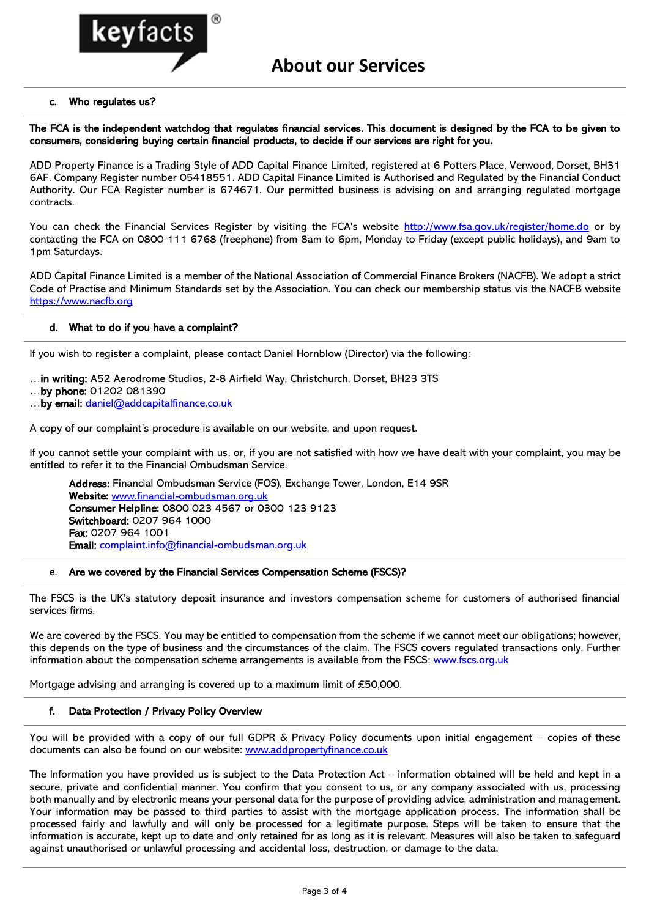

# c. Who regulates us?

The FCA is the independent watchdog that regulates financial services. This document is designed by the FCA to be given to consumers, considering buying certain financial products, to decide if our services are right for you.

ADD Property Finance is a Trading Style of ADD Capital Finance Limited, registered at 6 Potters Place, Verwood, Dorset, BH31 6AF. Company Register number 05418551. ADD Capital Finance Limited is Authorised and Regulated by the Financial Conduct Authority. Our FCA Register number is 674671. Our permitted business is advising on and arranging regulated mortgage contracts.

You can check the Financial Services Register by visiting the FCA's website<http://www.fsa.gov.uk/register/home.do> or by contacting the FCA on 0800 111 6768 (freephone) from 8am to 6pm, Monday to Friday (except public holidays), and 9am to 1pm Saturdays.

ADD Capital Finance Limited is a member of the National Association of Commercial Finance Brokers (NACFB). We adopt a strict Code of Practise and Minimum Standards set by the Association. You can check our membership status vis the NACFB website [https://www.nacfb.org](https://www.nacfb.org/)

#### d. What to do if you have a complaint?

If you wish to register a complaint, please contact Daniel Hornblow (Director) via the following:

…in writing: A52 Aerodrome Studios, 2-8 Airfield Way, Christchurch, Dorset, BH23 3TS

- …by phone: 01202 081390
- …by email: [daniel@addcapitalfinance.co.uk](mailto:daniel@addcapitalfinance.co.uk)

A copy of our complaint's procedure is available on our website, and upon request.

If you cannot settle your complaint with us, or, if you are not satisfied with how we have dealt with your complaint, you may be entitled to refer it to the Financial Ombudsman Service.

Address: Financial Ombudsman Service (FOS), Exchange Tower, London, E14 9SR Website: [www.financial-ombudsman.org.uk](http://www.financial-ombudsman.org.uk/) Consumer Helpline: 0800 023 4567 or 0300 123 9123 Switchboard: 0207 964 1000 Fax: 0207 964 1001 Email: [complaint.info@financial-ombudsman.org.uk](mailto:complaint.info@financial-ombudsman.org.uk)

#### e. Are we covered by the Financial Services Compensation Scheme (FSCS)?

The FSCS is the UK's statutory deposit insurance and investors compensation scheme for customers of authorised financial services firms.

We are covered by the FSCS. You may be entitled to compensation from the scheme if we cannot meet our obligations; however, this depends on the type of business and the circumstances of the claim. The FSCS covers regulated transactions only. Further information about the compensation scheme arrangements is available from the FSCS: [www.fscs.org.uk](http://www.fscs.org.uk/)

Mortgage advising and arranging is covered up to a maximum limit of £50,000.

# f. Data Protection / Privacy Policy Overview

You will be provided with a copy of our full GDPR & Privacy Policy documents upon initial engagement – copies of these documents can also be found on our website: www.addpropertyfinance.co.uk

The Information you have provided us is subject to the Data Protection Act – information obtained will be held and kept in a secure, private and confidential manner. You confirm that you consent to us, or any company associated with us, processing both manually and by electronic means your personal data for the purpose of providing advice, administration and management. Your information may be passed to third parties to assist with the mortgage application process. The information shall be processed fairly and lawfully and will only be processed for a legitimate purpose. Steps will be taken to ensure that the information is accurate, kept up to date and only retained for as long as it is relevant. Measures will also be taken to safeguard against unauthorised or unlawful processing and accidental loss, destruction, or damage to the data.